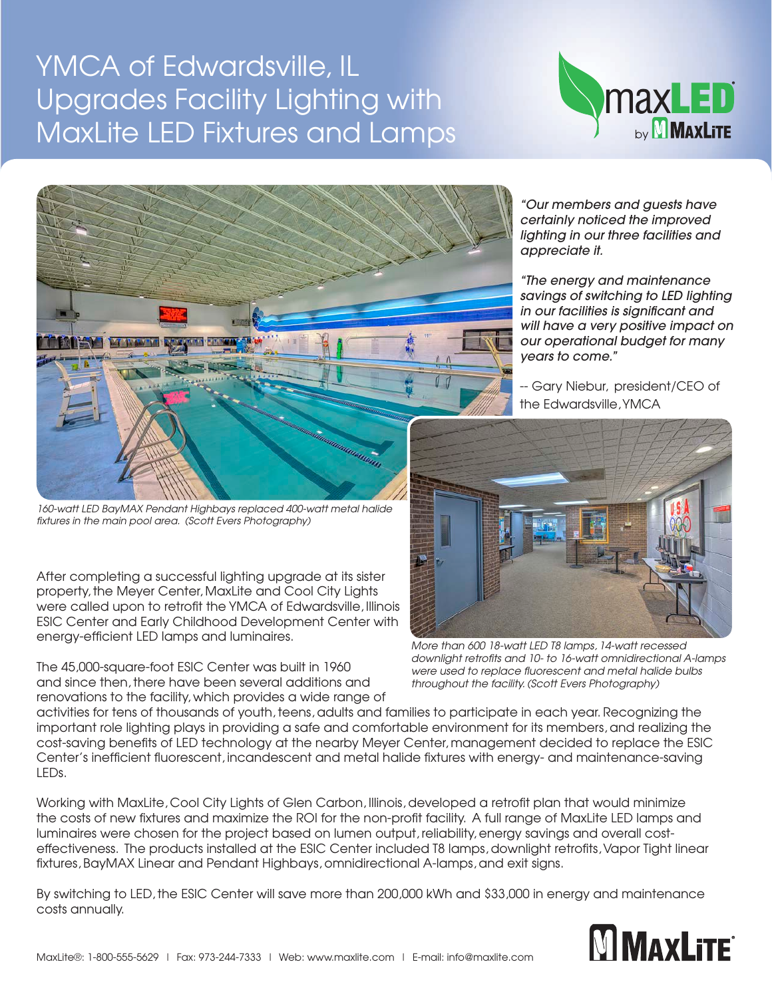## YMCA of Edwardsville, IL Upgrades Facility Lighting with MaxLite LED Fixtures and Lamps





*160-watt LED BayMAX Pendant Highbays replaced 400-watt metal halide fixtures in the main pool area. (Scott Evers Photography)*

After completing a successful lighting upgrade at its sister property, the Meyer Center, MaxLite and Cool City Lights were called upon to retrofit the YMCA of Edwardsville, Illinois ESIC Center and Early Childhood Development Center with energy-efficient LED lamps and luminaires.

The 45,000-square-foot ESIC Center was built in 1960 and since then, there have been several additions and renovations to the facility, which provides a wide range of

*"Our members and guests have certainly noticed the improved lighting in our three facilities and appreciate it.* 

*"The energy and maintenance savings of switching to LED lighting in our facilities is significant and will have a very positive impact on our operational budget for many years to come."* 

-- Gary Niebur, president/CEO of the Edwardsville, YMCA



*More than 600 18-watt LED T8 lamps, 14-watt recessed downlight retrofits and 10- to 16-watt omnidirectional A-lamps were used to replace fluorescent and metal halide bulbs throughout the facility. (Scott Evers Photography)*

activities for tens of thousands of youth, teens, adults and families to participate in each year. Recognizing the important role lighting plays in providing a safe and comfortable environment for its members, and realizing the cost-saving benefits of LED technology at the nearby Meyer Center, management decided to replace the ESIC Center's inefficient fluorescent, incandescent and metal halide fixtures with energy- and maintenance-saving LEDs.

Working with MaxLite, Cool City Lights of Glen Carbon, Illinois, developed a retrofit plan that would minimize the costs of new fixtures and maximize the ROI for the non-profit facility. A full range of MaxLite LED lamps and luminaires were chosen for the project based on lumen output, reliability, energy savings and overall costeffectiveness. The products installed at the ESIC Center included T8 lamps, downlight retrofits, Vapor Tight linear fixtures, BayMAX Linear and Pendant Highbays, omnidirectional A-lamps, and exit signs.

By switching to LED, the ESIC Center will save more than 200,000 kWh and \$33,000 in energy and maintenance costs annually.